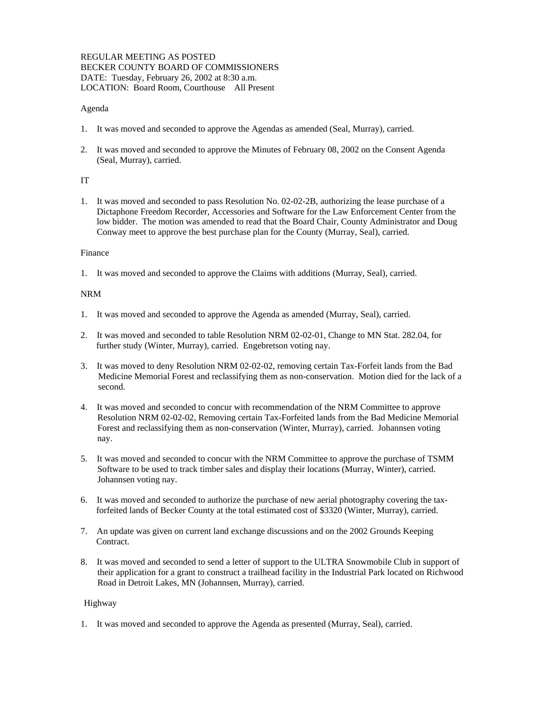### REGULAR MEETING AS POSTED BECKER COUNTY BOARD OF COMMISSIONERS DATE: Tuesday, February 26, 2002 at 8:30 a.m. LOCATION: Board Room, Courthouse All Present

# Agenda

- 1. It was moved and seconded to approve the Agendas as amended (Seal, Murray), carried.
- 2. It was moved and seconded to approve the Minutes of February 08, 2002 on the Consent Agenda (Seal, Murray), carried.

# IT

1. It was moved and seconded to pass Resolution No. 02-02-2B, authorizing the lease purchase of a Dictaphone Freedom Recorder, Accessories and Software for the Law Enforcement Center from the low bidder. The motion was amended to read that the Board Chair, County Administrator and Doug Conway meet to approve the best purchase plan for the County (Murray, Seal), carried.

### Finance

1. It was moved and seconded to approve the Claims with additions (Murray, Seal), carried.

### NRM

- 1. It was moved and seconded to approve the Agenda as amended (Murray, Seal), carried.
- 2. It was moved and seconded to table Resolution NRM 02-02-01, Change to MN Stat. 282.04, for further study (Winter, Murray), carried. Engebretson voting nay.
- 3. It was moved to deny Resolution NRM 02-02-02, removing certain Tax-Forfeit lands from the Bad Medicine Memorial Forest and reclassifying them as non-conservation. Motion died for the lack of a second.
- 4. It was moved and seconded to concur with recommendation of the NRM Committee to approve Resolution NRM 02-02-02, Removing certain Tax-Forfeited lands from the Bad Medicine Memorial Forest and reclassifying them as non-conservation (Winter, Murray), carried. Johannsen voting nay.
- 5. It was moved and seconded to concur with the NRM Committee to approve the purchase of TSMM Software to be used to track timber sales and display their locations (Murray, Winter), carried. Johannsen voting nay.
- 6. It was moved and seconded to authorize the purchase of new aerial photography covering the tax forfeited lands of Becker County at the total estimated cost of \$3320 (Winter, Murray), carried.
- 7. An update was given on current land exchange discussions and on the 2002 Grounds Keeping Contract.
- 8. It was moved and seconded to send a letter of support to the ULTRA Snowmobile Club in support of their application for a grant to construct a trailhead facility in the Industrial Park located on Richwood Road in Detroit Lakes, MN (Johannsen, Murray), carried.

# Highway

1. It was moved and seconded to approve the Agenda as presented (Murray, Seal), carried.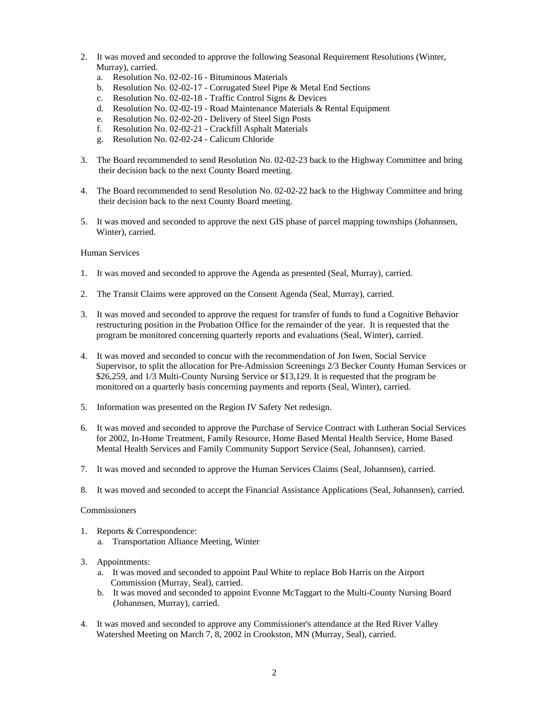- 2. It was moved and seconded to approve the following Seasonal Requirement Resolutions (Winter, Murray), carried.
	- a. Resolution No. 02-02-16 Bituminous Materials
	- b. Resolution No. 02-02-17 Corrugated Steel Pipe & Metal End Sections
	- c. Resolution No. 02-02-18 Traffic Control Signs & Devices
	- d. Resolution No. 02-02-19 Road Maintenance Materials & Rental Equipment
	- e. Resolution No. 02-02-20 Delivery of Steel Sign Posts
	- f. Resolution No. 02-02-21 Crackfill Asphalt Materials
	- g. Resolution No. 02-02-24 Calicum Chloride
- 3. The Board recommended to send Resolution No. 02-02-23 back to the Highway Committee and bring their decision back to the next County Board meeting.
- 4. The Board recommended to send Resolution No. 02-02-22 back to the Highway Committee and bring their decision back to the next County Board meeting.
- 5. It was moved and seconded to approve the next GIS phase of parcel mapping townships (Johannsen, Winter), carried.

#### Human Services

- 1. It was moved and seconded to approve the Agenda as presented (Seal, Murray), carried.
- 2. The Transit Claims were approved on the Consent Agenda (Seal, Murray), carried.
- 3. It was moved and seconded to approve the request for transfer of funds to fund a Cognitive Behavior restructuring position in the Probation Office for the remainder of the year. It is requested that the program be monitored concerning quarterly reports and evaluations (Seal, Winter), carried.
- 4. It was moved and seconded to concur with the recommendation of Jon Iwen, Social Service Supervisor, to split the allocation for Pre-Admission Screenings 2/3 Becker County Human Services or \$26,259, and 1/3 Multi-County Nursing Service or \$13,129. It is requested that the program be monitored on a quarterly basis concerning payments and reports (Seal, Winter), carried.
- 5. Information was presented on the Region IV Safety Net redesign.
- 6. It was moved and seconded to approve the Purchase of Service Contract with Lutheran Social Services for 2002, In-Home Treatment, Family Resource, Home Based Mental Health Service, Home Based Mental Health Services and Family Community Support Service (Seal, Johannsen), carried.
- 7. It was moved and seconded to approve the Human Services Claims (Seal, Johannsen), carried.
- 8. It was moved and seconded to accept the Financial Assistance Applications (Seal, Johannsen), carried.

#### Commissioners

- 1. Reports & Correspondence:
	- a. Transportation Alliance Meeting, Winter
- 3. Appointments:
	- a. It was moved and seconded to appoint Paul White to replace Bob Harris on the Airport Commission (Murray, Seal), carried.
	- b. It was moved and seconded to appoint Evonne McTaggart to the Multi-County Nursing Board (Johannsen, Murray), carried.
- 4. It was moved and seconded to approve any Commissioner's attendance at the Red River Valley Watershed Meeting on March 7, 8, 2002 in Crookston, MN (Murray, Seal), carried.